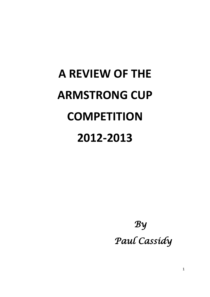# **A REVIEW OF THE ARMSTRONG CUP COMPETITION 2012-2013**

 *By Paul Cassidy*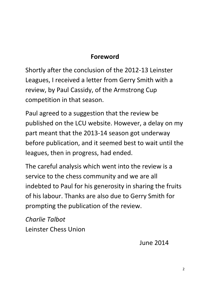#### **Foreword**

Shortly after the conclusion of the 2012-13 Leinster Leagues, I received a letter from Gerry Smith with a review, by Paul Cassidy, of the Armstrong Cup competition in that season.

Paul agreed to a suggestion that the review be published on the LCU website. However, a delay on my part meant that the 2013-14 season got underway before publication, and it seemed best to wait until the leagues, then in progress, had ended.

The careful analysis which went into the review is a service to the chess community and we are all indebted to Paul for his generosity in sharing the fruits of his labour. Thanks are also due to Gerry Smith for prompting the publication of the review.

*Charlie Talbot* Leinster Chess Union

June 2014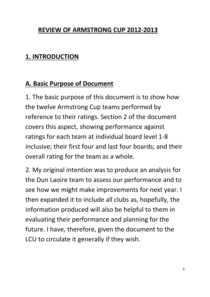#### **REVIEW OF ARMSTRONG CUP 2012-2013**

#### **1. INTRODUCTION**

#### **A. Basic Purpose of Document**

1. The basic purpose of this document is to show how the twelve Armstrong Cup teams performed by reference to their ratings. Section 2 of the document covers this aspect, showing performance against ratings for each team at individual board level 1-8 inclusive; their first four and last four boards; and their overall rating for the team as a whole.

2. My original intention was to produce an analysis for the Dun Laoire team to assess our performance and to see how we might make improvements for next year. I then expanded it to include all clubs as, hopefully, the information produced will also be helpful to them in evaluating their performance and planning for the future. I have, therefore, given the document to the LCU to circulate it generally if they wish.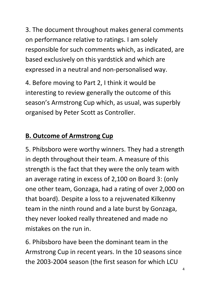3. The document throughout makes general comments on performance relative to ratings. I am solely responsible for such comments which, as indicated, are based exclusively on this yardstick and which are expressed in a neutral and non-personalised way.

4. Before moving to Part 2, I think it would be interesting to review generally the outcome of this season's Armstrong Cup which, as usual, was superbly organised by Peter Scott as Controller.

#### **B. Outcome of Armstrong Cup**

5. Phibsboro were worthy winners. They had a strength in depth throughout their team. A measure of this strength is the fact that they were the only team with an average rating in excess of 2,100 on Board 3: (only one other team, Gonzaga, had a rating of over 2,000 on that board). Despite a loss to a rejuvenated Kilkenny team in the ninth round and a late burst by Gonzaga, they never looked really threatened and made no mistakes on the run in.

6. Phibsboro have been the dominant team in the Armstrong Cup in recent years. In the 10 seasons since the 2003-2004 season (the first season for which LCU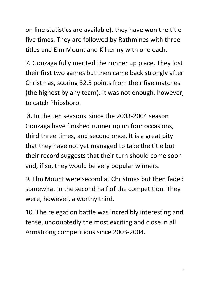on line statistics are available), they have won the title five times. They are followed by Rathmines with three titles and Elm Mount and Kilkenny with one each.

7. Gonzaga fully merited the runner up place. They lost their first two games but then came back strongly after Christmas, scoring 32.5 points from their five matches (the highest by any team). It was not enough, however, to catch Phibsboro.

8. In the ten seasons since the 2003-2004 season Gonzaga have finished runner up on four occasions, third three times, and second once. It is a great pity that they have not yet managed to take the title but their record suggests that their turn should come soon and, if so, they would be very popular winners.

9. Elm Mount were second at Christmas but then faded somewhat in the second half of the competition. They were, however, a worthy third.

10. The relegation battle was incredibly interesting and tense, undoubtedly the most exciting and close in all Armstrong competitions since 2003-2004.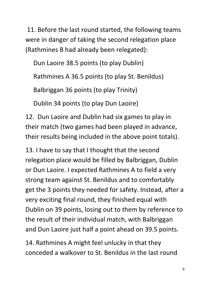11. Before the last round started, the following teams were in danger of taking the second relegation place (Rathmines B had already been relegated):

Dun Laoire 38.5 points (to play Dublin)

Rathmines A 36.5 points (to play St. Benildus)

Balbriggan 36 points (to play Trinity)

Dublin 34 points (to play Dun Laoire)

12. Dun Laoire and Dublin had six games to play in their match (two games had been played in advance, their results being included in the above point totals).

13. I have to say that I thought that the second relegation place would be filled by Balbriggan, Dublin or Dun Laoire. I expected Rathmines A to field a very strong team against St. Benildus and to comfortably get the 3 points they needed for safety. Instead, after a very exciting final round, they finished equal with Dublin on 39 points, losing out to them by reference to the result of their individual match, with Balbriggan and Dun Laoire just half a point ahead on 39.5 points.

14. Rathmines A might feel unlucky in that they conceded a walkover to St. Benildus in the last round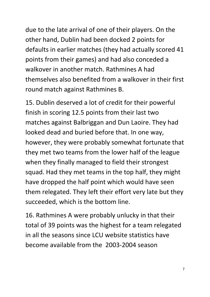due to the late arrival of one of their players. On the other hand, Dublin had been docked 2 points for defaults in earlier matches (they had actually scored 41 points from their games) and had also conceded a walkover in another match. Rathmines A had themselves also benefited from a walkover in their first round match against Rathmines B.

15. Dublin deserved a lot of credit for their powerful finish in scoring 12.5 points from their last two matches against Balbriggan and Dun Laoire. They had looked dead and buried before that. In one way, however, they were probably somewhat fortunate that they met two teams from the lower half of the league when they finally managed to field their strongest squad. Had they met teams in the top half, they might have dropped the half point which would have seen them relegated. They left their effort very late but they succeeded, which is the bottom line.

16. Rathmines A were probably unlucky in that their total of 39 points was the highest for a team relegated in all the seasons since LCU website statistics have become available from the 2003-2004 season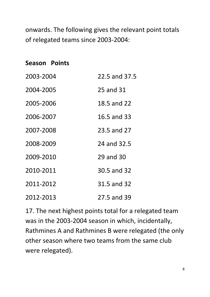onwards. The following gives the relevant point totals of relegated teams since 2003-2004:

# **Season Points** 2003-2004 22.5 and 37.5 2004-2005 25 and 31 2005-2006 18.5 and 22 2006-2007 16.5 and 33 2007-2008 23.5 and 27 2008-2009 24 and 32.5 2009-2010 29 and 30 2010-2011 30.5 and 32 2011-2012 31.5 and 32 2012-2013 27.5 and 39

17. The next highest points total for a relegated team was in the 2003-2004 season in which, incidentally, Rathmines A and Rathmines B were relegated (the only other season where two teams from the same club were relegated).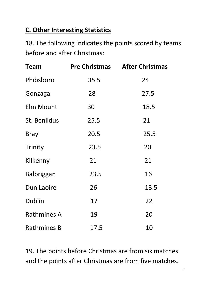#### **C. Other Interesting Statistics**

18. The following indicates the points scored by teams before and after Christmas:

| Team               |      | <b>Pre Christmas After Christmas</b> |
|--------------------|------|--------------------------------------|
| Phibsboro          | 35.5 | 24                                   |
| Gonzaga            | 28   | 27.5                                 |
| <b>Elm Mount</b>   | 30   | 18.5                                 |
| St. Benildus       | 25.5 | 21                                   |
| <b>Bray</b>        | 20.5 | 25.5                                 |
| Trinity            | 23.5 | 20                                   |
| Kilkenny           | 21   | 21                                   |
| <b>Balbriggan</b>  | 23.5 | 16                                   |
| Dun Laoire         | 26   | 13.5                                 |
| <b>Dublin</b>      | 17   | 22                                   |
| <b>Rathmines A</b> | 19   | 20                                   |
| <b>Rathmines B</b> | 17.5 | 10                                   |

19. The points before Christmas are from six matches and the points after Christmas are from five matches.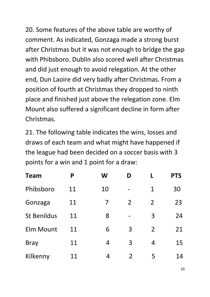20. Some features of the above table are worthy of comment. As indicated, Gonzaga made a strong burst after Christmas but it was not enough to bridge the gap with Phibsboro. Dublin also scored well after Christmas and did just enough to avoid relegation. At the other end, Dun Laoire did very badly after Christmas. From a position of fourth at Christmas they dropped to ninth place and finished just above the relegation zone. Elm Mount also suffered a significant decline in form after Christmas.

21. The following table indicates the wins, losses and draws of each team and what might have happened if the league had been decided on a soccer basis with 3 points for a win and 1 point for a draw:

| <b>Team</b>        | P  | W              | D              | L              | <b>PTS</b> |
|--------------------|----|----------------|----------------|----------------|------------|
| Phibsboro          | 11 | 10             |                | 1              | 30         |
| Gonzaga            | 11 | 7              | $\overline{2}$ | $\overline{2}$ | 23         |
| <b>St Benildus</b> | 11 | 8              |                | 3              | 24         |
| <b>Elm Mount</b>   | 11 | 6              | 3              | $\overline{2}$ | 21         |
| <b>Bray</b>        | 11 | 4              | 3              | 4              | 15         |
| Kilkenny           | 11 | $\overline{4}$ | $\overline{2}$ | 5              | 14         |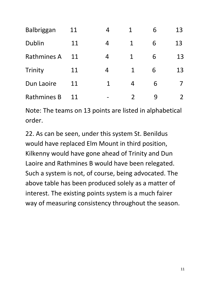| Balbriggan         | 11 | 4 | $\mathbf 1$   | 6 | 13 |
|--------------------|----|---|---------------|---|----|
| <b>Dublin</b>      | 11 | 4 | $\mathbf 1$   | 6 | 13 |
| <b>Rathmines A</b> | 11 | 4 | $\mathbf 1$   | 6 | 13 |
| Trinity            | 11 | 4 | 1             | 6 | 13 |
| Dun Laoire         | 11 | 1 | 4             | 6 |    |
| <b>Rathmines B</b> | 11 |   | $\mathcal{P}$ |   | 2  |

Note: The teams on 13 points are listed in alphabetical order.

22. As can be seen, under this system St. Benildus would have replaced Elm Mount in third position, Kilkenny would have gone ahead of Trinity and Dun Laoire and Rathmines B would have been relegated. Such a system is not, of course, being advocated. The above table has been produced solely as a matter of interest. The existing points system is a much fairer way of measuring consistency throughout the season.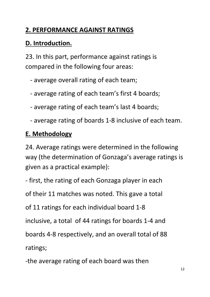#### **2. PERFORMANCE AGAINST RATINGS**

#### **D. Introduction.**

23. In this part, performance against ratings is compared in the following four areas:

- average overall rating of each team;
- average rating of each team's first 4 boards;
- average rating of each team's last 4 boards;
- average rating of boards 1-8 inclusive of each team.

#### **E. Methodology**

24. Average ratings were determined in the following way (the determination of Gonzaga's average ratings is given as a practical example):

- first, the rating of each Gonzaga player in each

of their 11 matches was noted. This gave a total

of 11 ratings for each individual board 1-8

inclusive, a total of 44 ratings for boards 1-4 and

boards 4-8 respectively, and an overall total of 88

ratings;

-the average rating of each board was then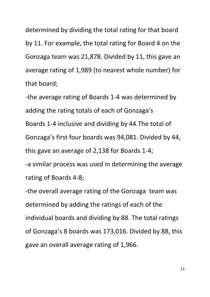determined by dividing the total rating for that board by 11. For example, the total rating for Board 4 on the Gonzaga team was 21,878. Divided by 11, this gave an average rating of 1,989 (to nearest whole number) for that board;

-the average rating of Boards 1-4 was determined by adding the rating totals of each of Gonzaga's Boards 1-4 inclusive and dividing by 44.The total of Gonzaga's first four boards was 94,081. Divided by 44, this gave an average of 2,138 for Boards 1-4; -a similar process was used in determining the average rating of Boards 4-8;

-the overall average rating of the Gonzaga team was determined by adding the ratings of each of the individual boards and dividing by 88. The total ratings of Gonzaga's 8 boards was 173,016. Divided by 88, this gave an overall average rating of 1,966.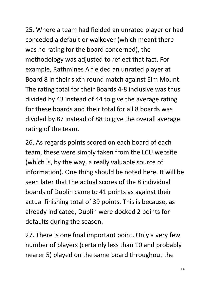25. Where a team had fielded an unrated player or had conceded a default or walkover (which meant there was no rating for the board concerned), the methodology was adjusted to reflect that fact. For example, Rathmines A fielded an unrated player at Board 8 in their sixth round match against Elm Mount. The rating total for their Boards 4-8 inclusive was thus divided by 43 instead of 44 to give the average rating for these boards and their total for all 8 boards was divided by 87 instead of 88 to give the overall average rating of the team.

26. As regards points scored on each board of each team, these were simply taken from the LCU website (which is, by the way, a really valuable source of information). One thing should be noted here. It will be seen later that the actual scores of the 8 individual boards of Dublin came to 41 points as against their actual finishing total of 39 points. This is because, as already indicated, Dublin were docked 2 points for defaults during the season.

27. There is one final important point. Only a very few number of players (certainly less than 10 and probably nearer 5) played on the same board throughout the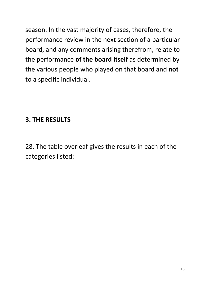season. In the vast majority of cases, therefore, the performance review in the next section of a particular board, and any comments arising therefrom, relate to the performance **of the board itself** as determined by the various people who played on that board and **not**  to a specific individual.

#### **3. THE RESULTS**

28. The table overleaf gives the results in each of the categories listed: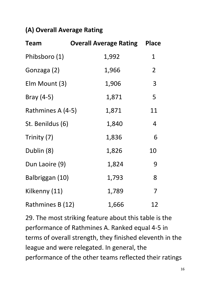#### **(A) Overall Average Rating**

| <b>Team</b>       | <b>Overall Average Rating</b> | <b>Place</b>   |
|-------------------|-------------------------------|----------------|
| Phibsboro (1)     | 1,992                         | 1              |
| Gonzaga (2)       | 1,966                         | $\overline{2}$ |
| Elm Mount (3)     | 1,906                         | 3              |
| Bray $(4-5)$      | 1,871                         | 5              |
| Rathmines A (4-5) | 1,871                         | 11             |
| St. Benildus (6)  | 1,840                         | 4              |
| Trinity (7)       | 1,836                         | 6              |
| Dublin (8)        | 1,826                         | 10             |
| Dun Laoire (9)    | 1,824                         | 9              |
| Balbriggan (10)   | 1,793                         | 8              |
| Kilkenny (11)     | 1,789                         | 7              |
| Rathmines B (12)  | 1,666                         | 12             |

29. The most striking feature about this table is the performance of Rathmines A. Ranked equal 4-5 in terms of overall strength, they finished eleventh in the league and were relegated. In general, the performance of the other teams reflected their ratings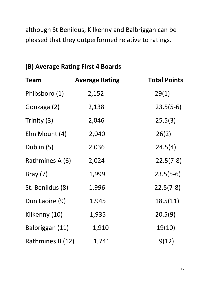although St Benildus, Kilkenny and Balbriggan can be pleased that they outperformed relative to ratings.

#### **(B) Average Rating First 4 Boards**

| Team             | <b>Average Rating</b> | <b>Total Points</b> |
|------------------|-----------------------|---------------------|
| Phibsboro (1)    | 2,152                 | 29(1)               |
| Gonzaga (2)      | 2,138                 | $23.5(5-6)$         |
| Trinity (3)      | 2,046                 | 25.5(3)             |
| Elm Mount (4)    | 2,040                 | 26(2)               |
| Dublin (5)       | 2,036                 | 24.5(4)             |
| Rathmines A (6)  | 2,024                 | $22.5(7-8)$         |
| Bray $(7)$       | 1,999                 | $23.5(5-6)$         |
| St. Benildus (8) | 1,996                 | $22.5(7-8)$         |
| Dun Laoire (9)   | 1,945                 | 18.5(11)            |
| Kilkenny (10)    | 1,935                 | 20.5(9)             |
| Balbriggan (11)  | 1,910                 | 19(10)              |
| Rathmines B (12) | 1,741                 | 9(12)               |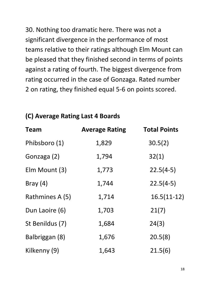30. Nothing too dramatic here. There was not a significant divergence in the performance of most teams relative to their ratings although Elm Mount can be pleased that they finished second in terms of points against a rating of fourth. The biggest divergence from rating occurred in the case of Gonzaga. Rated number 2 on rating, they finished equal 5-6 on points scored.

#### **(C) Average Rating Last 4 Boards**

| Team            | <b>Average Rating</b> | <b>Total Points</b> |
|-----------------|-----------------------|---------------------|
| Phibsboro (1)   | 1,829                 | 30.5(2)             |
| Gonzaga (2)     | 1,794                 | 32(1)               |
| Elm Mount (3)   | 1,773                 | $22.5(4-5)$         |
| Bray $(4)$      | 1,744                 | $22.5(4-5)$         |
| Rathmines A (5) | 1,714                 | $16.5(11-12)$       |
| Dun Laoire (6)  | 1,703                 | 21(7)               |
| St Benildus (7) | 1,684                 | 24(3)               |
| Balbriggan (8)  | 1,676                 | 20.5(8)             |
| Kilkenny (9)    | 1,643                 | 21.5(6)             |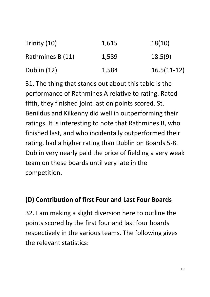| Trinity (10)     | 1,615 | 18(10)        |
|------------------|-------|---------------|
| Rathmines B (11) | 1,589 | 18.5(9)       |
| Dublin (12)      | 1,584 | $16.5(11-12)$ |

31. The thing that stands out about this table is the performance of Rathmines A relative to rating. Rated fifth, they finished joint last on points scored. St. Benildus and Kilkenny did well in outperforming their ratings. It is interesting to note that Rathmines B, who finished last, and who incidentally outperformed their rating, had a higher rating than Dublin on Boards 5-8. Dublin very nearly paid the price of fielding a very weak team on these boards until very late in the competition.

#### **(D) Contribution of first Four and Last Four Boards**

32. I am making a slight diversion here to outline the points scored by the first four and last four boards respectively in the various teams. The following gives the relevant statistics: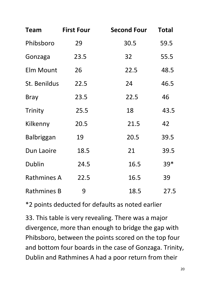| Team               | <b>First Four</b> | <b>Second Four</b> | <b>Total</b> |
|--------------------|-------------------|--------------------|--------------|
| Phibsboro          | 29                | 30.5               | 59.5         |
| Gonzaga            | 23.5              | 32                 | 55.5         |
| Elm Mount          | 26                | 22.5               | 48.5         |
| St. Benildus       | 22.5              | 24                 | 46.5         |
| <b>Bray</b>        | 23.5              | 22.5               | 46           |
| Trinity            | 25.5              | 18                 | 43.5         |
| Kilkenny           | 20.5              | 21.5               | 42           |
| <b>Balbriggan</b>  | 19                | 20.5               | 39.5         |
| Dun Laoire         | 18.5              | 21                 | 39.5         |
| Dublin             | 24.5              | 16.5               | 39*          |
| <b>Rathmines A</b> | 22.5              | 16.5               | 39           |
| <b>Rathmines B</b> | 9                 | 18.5               | 27.5         |

\*2 points deducted for defaults as noted earlier

33. This table is very revealing. There was a major divergence, more than enough to bridge the gap with Phibsboro, between the points scored on the top four and bottom four boards in the case of Gonzaga. Trinity, Dublin and Rathmines A had a poor return from their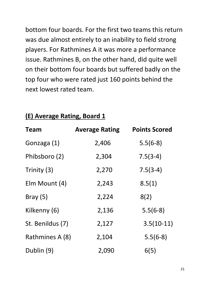bottom four boards. For the first two teams this return was due almost entirely to an inability to field strong players. For Rathmines A it was more a performance issue. Rathmines B, on the other hand, did quite well on their bottom four boards but suffered badly on the top four who were rated just 160 points behind the next lowest rated team.

| Team             | <b>Average Rating</b> | <b>Points Scored</b> |
|------------------|-----------------------|----------------------|
| Gonzaga (1)      | 2,406                 | $5.5(6-8)$           |
| Phibsboro (2)    | 2,304                 | $7.5(3-4)$           |
| Trinity (3)      | 2,270                 | $7.5(3-4)$           |
| Elm Mount (4)    | 2,243                 | 8.5(1)               |
| Bray $(5)$       | 2,224                 | 8(2)                 |
| Kilkenny (6)     | 2,136                 | $5.5(6-8)$           |
| St. Benildus (7) | 2,127                 | $3.5(10-11)$         |
| Rathmines A (8)  | 2,104                 | $5.5(6-8)$           |
| Dublin (9)       | 2,090                 | 6(5)                 |

#### **(E) Average Rating, Board 1**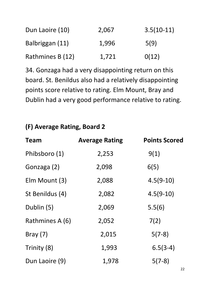| Dun Laoire (10)  | 2,067 | $3.5(10-11)$ |
|------------------|-------|--------------|
| Balbriggan (11)  | 1,996 | 5(9)         |
| Rathmines B (12) | 1,721 | O(12)        |

34. Gonzaga had a very disappointing return on this board. St. Benildus also had a relatively disappointing points score relative to rating. Elm Mount, Bray and Dublin had a very good performance relative to rating.

#### **(F) Average Rating, Board 2**

| Team            | <b>Average Rating</b> | <b>Points Scored</b> |
|-----------------|-----------------------|----------------------|
| Phibsboro (1)   | 2,253                 | 9(1)                 |
| Gonzaga (2)     | 2,098                 | 6(5)                 |
| Elm Mount (3)   | 2,088                 | $4.5(9-10)$          |
| St Benildus (4) | 2,082                 | $4.5(9-10)$          |
| Dublin (5)      | 2,069                 | 5.5(6)               |
| Rathmines A (6) | 2,052                 | 7(2)                 |
| Bray $(7)$      | 2,015                 | $5(7-8)$             |
| Trinity (8)     | 1,993                 | $6.5(3-4)$           |
| Dun Laoire (9)  | 1,978                 | $5(7-8)$             |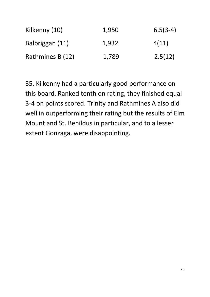| Kilkenny (10)    | 1,950 | $6.5(3-4)$ |
|------------------|-------|------------|
| Balbriggan (11)  | 1,932 | 4(11)      |
| Rathmines B (12) | 1,789 | 2.5(12)    |

35. Kilkenny had a particularly good performance on this board. Ranked tenth on rating, they finished equal 3-4 on points scored. Trinity and Rathmines A also did well in outperforming their rating but the results of Elm Mount and St. Benildus in particular, and to a lesser extent Gonzaga, were disappointing.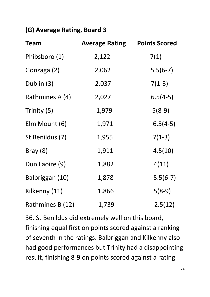#### **(G) Average Rating, Board 3**

| <b>Team</b>      | <b>Average Rating</b> | <b>Points Scored</b> |
|------------------|-----------------------|----------------------|
| Phibsboro (1)    | 2,122                 | 7(1)                 |
| Gonzaga (2)      | 2,062                 | $5.5(6-7)$           |
| Dublin (3)       | 2,037                 | $7(1-3)$             |
| Rathmines A (4)  | 2,027                 | $6.5(4-5)$           |
| Trinity (5)      | 1,979                 | $5(8-9)$             |
| Elm Mount (6)    | 1,971                 | $6.5(4-5)$           |
| St Benildus (7)  | 1,955                 | $7(1-3)$             |
| Bray(8)          | 1,911                 | 4.5(10)              |
| Dun Laoire (9)   | 1,882                 | 4(11)                |
| Balbriggan (10)  | 1,878                 | $5.5(6-7)$           |
| Kilkenny (11)    | 1,866                 | $5(8-9)$             |
| Rathmines B (12) | 1,739                 | 2.5(12)              |

36. St Benildus did extremely well on this board, finishing equal first on points scored against a ranking of seventh in the ratings. Balbriggan and Kilkenny also had good performances but Trinity had a disappointing result, finishing 8-9 on points scored against a rating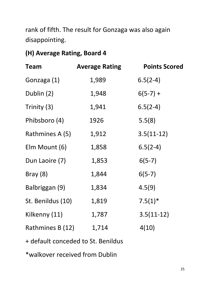rank of fifth. The result for Gonzaga was also again disappointing.

#### **(H) Average Rating, Board 4**

| <b>Team</b>       | <b>Average Rating</b> | <b>Points Scored</b> |
|-------------------|-----------------------|----------------------|
| Gonzaga (1)       | 1,989                 | $6.5(2-4)$           |
| Dublin (2)        | 1,948                 | $6(5-7) +$           |
| Trinity (3)       | 1,941                 | $6.5(2-4)$           |
| Phibsboro (4)     | 1926                  | 5.5(8)               |
| Rathmines A (5)   | 1,912                 | $3.5(11-12)$         |
| Elm Mount (6)     | 1,858                 | $6.5(2-4)$           |
| Dun Laoire (7)    | 1,853                 | $6(5-7)$             |
| Bray $(8)$        | 1,844                 | $6(5-7)$             |
| Balbriggan (9)    | 1,834                 | 4.5(9)               |
| St. Benildus (10) | 1,819                 | $7.5(1)$ *           |
| Kilkenny (11)     | 1,787                 | $3.5(11-12)$         |
| Rathmines B (12)  | 1,714                 | 4(10)                |
|                   |                       |                      |

+ default conceded to St. Benildus

\*walkover received from Dublin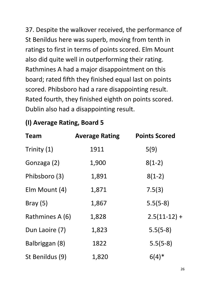37. Despite the walkover received, the performance of St Benildus here was superb, moving from tenth in ratings to first in terms of points scored. Elm Mount also did quite well in outperforming their rating. Rathmines A had a major disappointment on this board; rated fifth they finished equal last on points scored. Phibsboro had a rare disappointing result. Rated fourth, they finished eighth on points scored. Dublin also had a disappointing result.

#### **(I) Average Rating, Board 5**

| Team            | <b>Average Rating</b> | <b>Points Scored</b> |
|-----------------|-----------------------|----------------------|
| Trinity (1)     | 1911                  | 5(9)                 |
| Gonzaga (2)     | 1,900                 | $8(1-2)$             |
| Phibsboro (3)   | 1,891                 | $8(1-2)$             |
| Elm Mount (4)   | 1,871                 | 7.5(3)               |
| Bray $(5)$      | 1,867                 | $5.5(5-8)$           |
| Rathmines A (6) | 1,828                 | $2.5(11-12) +$       |
| Dun Laoire (7)  | 1,823                 | $5.5(5-8)$           |
| Balbriggan (8)  | 1822                  | $5.5(5-8)$           |
| St Benildus (9) | 1,820                 | $6(4)$ *             |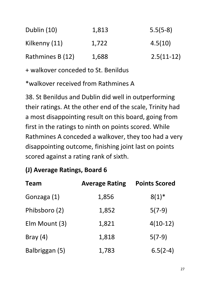| Dublin (10)      | 1,813 | $5.5(5-8)$   |
|------------------|-------|--------------|
| Kilkenny (11)    | 1,722 | 4.5(10)      |
| Rathmines B (12) | 1,688 | $2.5(11-12)$ |

+ walkover conceded to St. Benildus

\*walkover received from Rathmines A

38. St Benildus and Dublin did well in outperforming their ratings. At the other end of the scale, Trinity had a most disappointing result on this board, going from first in the ratings to ninth on points scored. While Rathmines A conceded a walkover, they too had a very disappointing outcome, finishing joint last on points scored against a rating rank of sixth.

#### **(J) Average Ratings, Board 6**

| Team           | <b>Average Rating</b> | <b>Points Scored</b> |
|----------------|-----------------------|----------------------|
| Gonzaga (1)    | 1,856                 | $8(1)^{*}$           |
| Phibsboro (2)  | 1,852                 | $5(7-9)$             |
| Elm Mount (3)  | 1,821                 | $4(10-12)$           |
| Bray $(4)$     | 1,818                 | $5(7-9)$             |
| Balbriggan (5) | 1,783                 | $6.5(2-4)$           |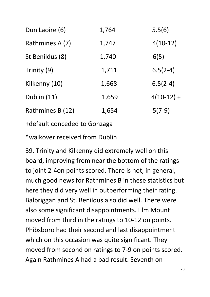| Dun Laoire (6)   | 1,764 | 5.5(6)       |
|------------------|-------|--------------|
| Rathmines A (7)  | 1,747 | $4(10-12)$   |
| St Benildus (8)  | 1,740 | 6(5)         |
| Trinity (9)      | 1,711 | $6.5(2-4)$   |
| Kilkenny (10)    | 1,668 | $6.5(2-4)$   |
| Dublin (11)      | 1,659 | $4(10-12) +$ |
| Rathmines B (12) | 1,654 | $5(7-9)$     |
|                  |       |              |

+default conceded to Gonzaga

\*walkover received from Dublin

39. Trinity and Kilkenny did extremely well on this board, improving from near the bottom of the ratings to joint 2-4on points scored. There is not, in general, much good news for Rathmines B in these statistics but here they did very well in outperforming their rating. Balbriggan and St. Benildus also did well. There were also some significant disappointments. Elm Mount moved from third in the ratings to 10-12 on points. Phibsboro had their second and last disappointment which on this occasion was quite significant. They moved from second on ratings to 7-9 on points scored. Again Rathmines A had a bad result. Seventh on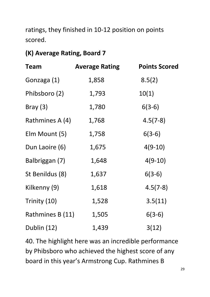ratings, they finished in 10-12 position on points scored.

#### **(K) Average Rating, Board 7**

| <b>Team</b>      | <b>Average Rating</b> | <b>Points Scored</b> |
|------------------|-----------------------|----------------------|
| Gonzaga (1)      | 1,858                 | 8.5(2)               |
| Phibsboro (2)    | 1,793                 | 10(1)                |
| Bray $(3)$       | 1,780                 | $6(3-6)$             |
| Rathmines A (4)  | 1,768                 | $4.5(7-8)$           |
| Elm Mount (5)    | 1,758                 | $6(3-6)$             |
| Dun Laoire (6)   | 1,675                 | $4(9-10)$            |
| Balbriggan (7)   | 1,648                 | $4(9-10)$            |
| St Benildus (8)  | 1,637                 | $6(3-6)$             |
| Kilkenny (9)     | 1,618                 | $4.5(7-8)$           |
| Trinity (10)     | 1,528                 | 3.5(11)              |
| Rathmines B (11) | 1,505                 | $6(3-6)$             |
| Dublin (12)      | 1,439                 | 3(12)                |

40. The highlight here was an incredible performance by Phibsboro who achieved the highest score of any board in this year's Armstrong Cup. Rathmines B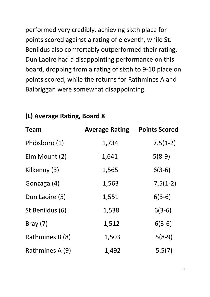performed very credibly, achieving sixth place for points scored against a rating of eleventh, while St. Benildus also comfortably outperformed their rating. Dun Laoire had a disappointing performance on this board, dropping from a rating of sixth to 9-10 place on points scored, while the returns for Rathmines A and Balbriggan were somewhat disappointing.

| Team            | <b>Average Rating</b> | <b>Points Scored</b> |
|-----------------|-----------------------|----------------------|
| Phibsboro (1)   | 1,734                 | $7.5(1-2)$           |
| Elm Mount (2)   | 1,641                 | $5(8-9)$             |
| Kilkenny (3)    | 1,565                 | $6(3-6)$             |
| Gonzaga (4)     | 1,563                 | $7.5(1-2)$           |
| Dun Laoire (5)  | 1,551                 | $6(3-6)$             |
| St Benildus (6) | 1,538                 | $6(3-6)$             |
| Bray $(7)$      | 1,512                 | $6(3-6)$             |
| Rathmines B (8) | 1,503                 | $5(8-9)$             |
| Rathmines A (9) | 1,492                 | 5.5(7)               |

#### **(L) Average Rating, Board 8**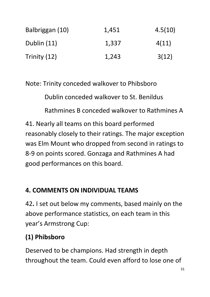| Balbriggan (10) | 1,451 | 4.5(10) |
|-----------------|-------|---------|
| Dublin (11)     | 1,337 | 4(11)   |
| Trinity (12)    | 1,243 | 3(12)   |

Note: Trinity conceded walkover to Phibsboro

Dublin conceded walkover to St. Benildus

Rathmines B conceded walkover to Rathmines A

41. Nearly all teams on this board performed reasonably closely to their ratings. The major exception was Elm Mount who dropped from second in ratings to 8-9 on points scored. Gonzaga and Rathmines A had good performances on this board.

#### **4. COMMENTS ON INDIVIDUAL TEAMS**

42**.** I set out below my comments, based mainly on the above performance statistics, on each team in this year's Armstrong Cup:

#### **(1) Phibsboro**

Deserved to be champions. Had strength in depth throughout the team. Could even afford to lose one of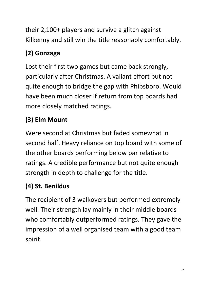their 2,100+ players and survive a glitch against Kilkenny and still win the title reasonably comfortably.

# **(2) Gonzaga**

Lost their first two games but came back strongly, particularly after Christmas. A valiant effort but not quite enough to bridge the gap with Phibsboro. Would have been much closer if return from top boards had more closely matched ratings.

# **(3) Elm Mount**

Were second at Christmas but faded somewhat in second half. Heavy reliance on top board with some of the other boards performing below par relative to ratings. A credible performance but not quite enough strength in depth to challenge for the title.

# **(4) St. Benildus**

The recipient of 3 walkovers but performed extremely well. Their strength lay mainly in their middle boards who comfortably outperformed ratings. They gave the impression of a well organised team with a good team spirit.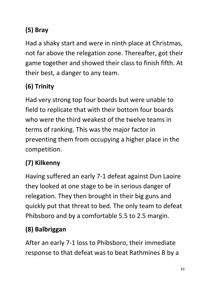# **(5) Bray**

Had a shaky start and were in ninth place at Christmas, not far above the relegation zone. Thereafter, got their game together and showed their class to finish fifth. At their best, a danger to any team.

# **(6) Trinity**

Had very strong top four boards but were unable to field to replicate that with their bottom four boards who were the third weakest of the twelve teams in terms of ranking. This was the major factor in preventing them from occupying a higher place in the competition.

# **(7) Kilkenny**

Having suffered an early 7-1 defeat against Dun Laoire they looked at one stage to be in serious danger of relegation. They then brought in their big guns and quickly put that threat to bed. The only team to defeat Phibsboro and by a comfortable 5.5 to 2.5 margin.

# **(8) Balbriggan**

After an early 7-1 loss to Phibsboro, their immediate response to that defeat was to beat Rathmines B by a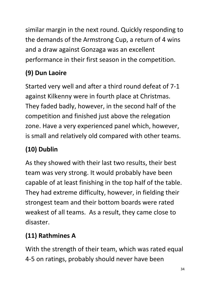similar margin in the next round. Quickly responding to the demands of the Armstrong Cup, a return of 4 wins and a draw against Gonzaga was an excellent performance in their first season in the competition.

# **(9) Dun Laoire**

Started very well and after a third round defeat of 7-1 against Kilkenny were in fourth place at Christmas. They faded badly, however, in the second half of the competition and finished just above the relegation zone. Have a very experienced panel which, however, is small and relatively old compared with other teams.

# **(10) Dublin**

As they showed with their last two results, their best team was very strong. It would probably have been capable of at least finishing in the top half of the table. They had extreme difficulty, however, in fielding their strongest team and their bottom boards were rated weakest of all teams. As a result, they came close to disaster.

# **(11) Rathmines A**

With the strength of their team, which was rated equal 4-5 on ratings, probably should never have been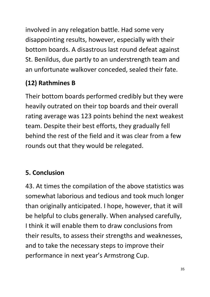involved in any relegation battle. Had some very disappointing results, however, especially with their bottom boards. A disastrous last round defeat against St. Benildus, due partly to an understrength team and an unfortunate walkover conceded, sealed their fate.

#### **(12) Rathmines B**

Their bottom boards performed credibly but they were heavily outrated on their top boards and their overall rating average was 123 points behind the next weakest team. Despite their best efforts, they gradually fell behind the rest of the field and it was clear from a few rounds out that they would be relegated.

# **5. Conclusion**

43. At times the compilation of the above statistics was somewhat laborious and tedious and took much longer than originally anticipated. I hope, however, that it will be helpful to clubs generally. When analysed carefully, I think it will enable them to draw conclusions from their results, to assess their strengths and weaknesses, and to take the necessary steps to improve their performance in next year's Armstrong Cup.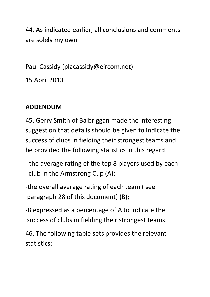44. As indicated earlier, all conclusions and comments are solely my own

Paul Cassidy (placassidy@eircom.net)

15 April 2013

#### **ADDENDUM**

45. Gerry Smith of Balbriggan made the interesting suggestion that details should be given to indicate the success of clubs in fielding their strongest teams and he provided the following statistics in this regard:

- the average rating of the top 8 players used by each club in the Armstrong Cup (A);
- -the overall average rating of each team ( see paragraph 28 of this document) (B);
- -B expressed as a percentage of A to indicate the success of clubs in fielding their strongest teams.

46. The following table sets provides the relevant statistics: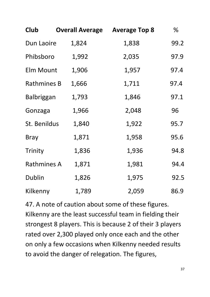| Club               | <b>Overall Average</b> | <b>Average Top 8</b> | %    |
|--------------------|------------------------|----------------------|------|
| Dun Laoire         | 1,824                  | 1,838                | 99.2 |
| Phibsboro          | 1,992                  | 2,035                | 97.9 |
| Elm Mount          | 1,906                  | 1,957                | 97.4 |
| <b>Rathmines B</b> | 1,666                  | 1,711                | 97.4 |
| <b>Balbriggan</b>  | 1,793                  | 1,846                | 97.1 |
| Gonzaga            | 1,966                  | 2,048                | 96   |
| St. Benildus       | 1,840                  | 1,922                | 95.7 |
| <b>Bray</b>        | 1,871                  | 1,958                | 95.6 |
| Trinity            | 1,836                  | 1,936                | 94.8 |
| <b>Rathmines A</b> | 1,871                  | 1,981                | 94.4 |
| Dublin             | 1,826                  | 1,975                | 92.5 |
| Kilkenny           | 1,789                  | 2,059                | 86.9 |

47. A note of caution about some of these figures. Kilkenny are the least successful team in fielding their strongest 8 players. This is because 2 of their 3 players rated over 2,300 played only once each and the other on only a few occasions when Kilkenny needed results to avoid the danger of relegation. The figures,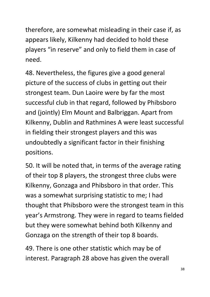therefore, are somewhat misleading in their case if, as appears likely, Kilkenny had decided to hold these players "in reserve" and only to field them in case of need.

48. Nevertheless, the figures give a good general picture of the success of clubs in getting out their strongest team. Dun Laoire were by far the most successful club in that regard, followed by Phibsboro and (jointly) Elm Mount and Balbriggan. Apart from Kilkenny, Dublin and Rathmines A were least successful in fielding their strongest players and this was undoubtedly a significant factor in their finishing positions.

50. It will be noted that, in terms of the average rating of their top 8 players, the strongest three clubs were Kilkenny, Gonzaga and Phibsboro in that order. This was a somewhat surprising statistic to me; I had thought that Phibsboro were the strongest team in this year's Armstrong. They were in regard to teams fielded but they were somewhat behind both Kilkenny and Gonzaga on the strength of their top 8 boards.

49. There is one other statistic which may be of interest. Paragraph 28 above has given the overall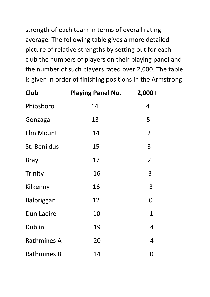strength of each team in terms of overall rating average. The following table gives a more detailed picture of relative strengths by setting out for each club the numbers of players on their playing panel and the number of such players rated over 2,000. The table is given in order of finishing positions in the Armstrong:

| Club               | <b>Playing Panel No.</b> | $2,000+$       |
|--------------------|--------------------------|----------------|
| Phibsboro          | 14                       | 4              |
| Gonzaga            | 13                       | 5              |
| <b>Elm Mount</b>   | 14                       | $\overline{2}$ |
| St. Benildus       | 15                       | 3              |
| <b>Bray</b>        | 17                       | $\overline{2}$ |
| Trinity            | 16                       | 3              |
| Kilkenny           | 16                       | 3              |
| <b>Balbriggan</b>  | 12                       | 0              |
| Dun Laoire         | 10                       | 1              |
| <b>Dublin</b>      | 19                       | 4              |
| <b>Rathmines A</b> | 20                       | 4              |
| <b>Rathmines B</b> | 14                       | 0              |